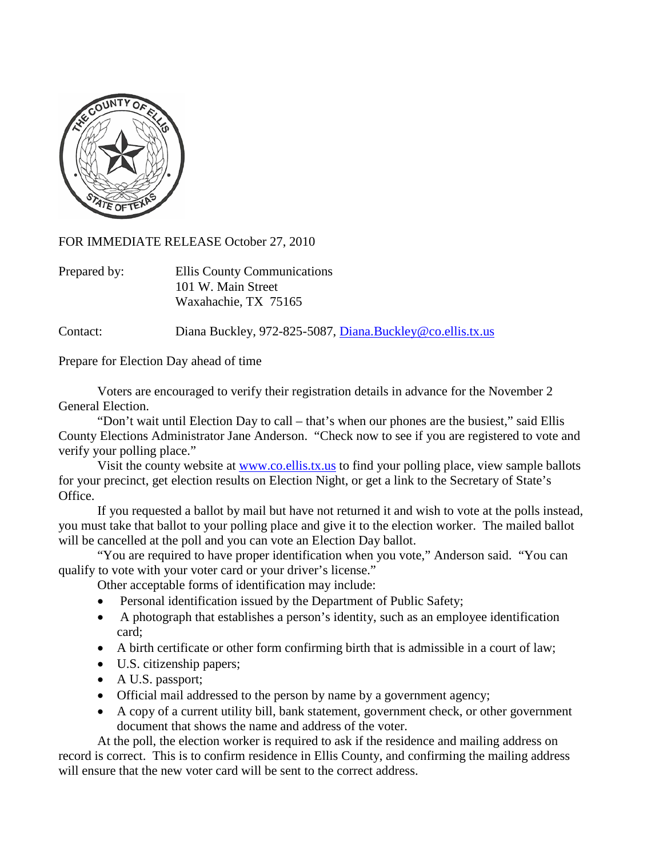

FOR IMMEDIATE RELEASE October 27, 2010

| Prepared by: | Ellis County Communications |
|--------------|-----------------------------|
|              | 101 W. Main Street          |
|              | Waxahachie, TX 75165        |

Contact: Diana Buckley, 972-825-5087, [Diana.Buckley@co.ellis.tx.us](mailto:Diana.Buckley@co.ellis.tx.us)

Prepare for Election Day ahead of time

Voters are encouraged to verify their registration details in advance for the November 2 General Election.

"Don't wait until Election Day to call – that's when our phones are the busiest," said Ellis County Elections Administrator Jane Anderson. "Check now to see if you are registered to vote and verify your polling place."

Visit the county website at [www.co.ellis.tx.us](http://www.co.ellis.tx.us/) to find your polling place, view sample ballots for your precinct, get election results on Election Night, or get a link to the Secretary of State's Office.

If you requested a ballot by mail but have not returned it and wish to vote at the polls instead, you must take that ballot to your polling place and give it to the election worker. The mailed ballot will be cancelled at the poll and you can vote an Election Day ballot.

"You are required to have proper identification when you vote," Anderson said. "You can qualify to vote with your voter card or your driver's license."

Other acceptable forms of identification may include:

- Personal identification issued by the Department of Public Safety;
- A photograph that establishes a person's identity, such as an employee identification card;
- A birth certificate or other form confirming birth that is admissible in a court of law;
- U.S. citizenship papers;
- A U.S. passport;
- Official mail addressed to the person by name by a government agency;
- A copy of a current utility bill, bank statement, government check, or other government document that shows the name and address of the voter.

At the poll, the election worker is required to ask if the residence and mailing address on record is correct. This is to confirm residence in Ellis County, and confirming the mailing address will ensure that the new voter card will be sent to the correct address.